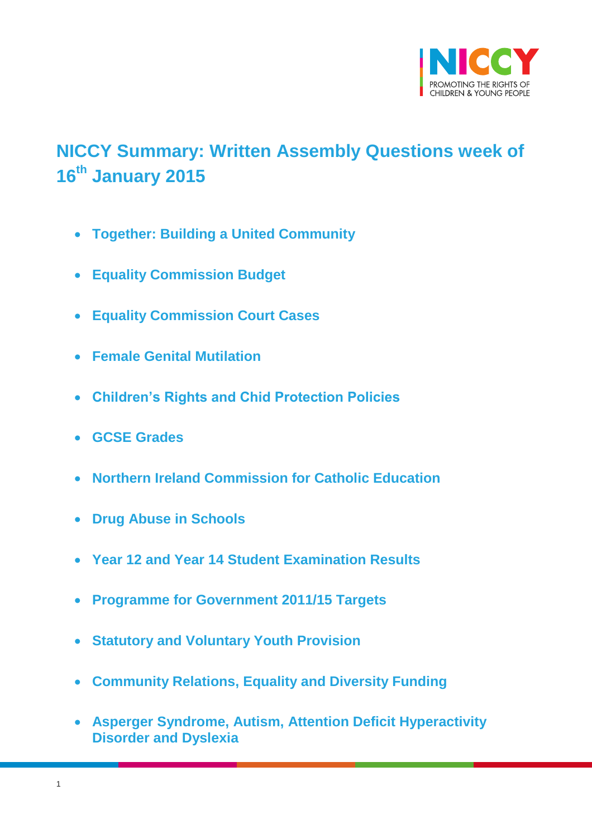

# <span id="page-0-0"></span>**NICCY Summary: Written Assembly Questions week of 16th January 2015**

- **[Together: Building a United Community](#page-2-0)**
- **[Equality Commission Budget](#page-4-0)**
- **[Equality Commission Court Cases](#page-4-1)**
- **[Female Genital Mutilation](#page-5-0)**
- **[Children's Rights and Chid Protection Policies](#page-6-0)**
- **[GCSE Grades](#page-6-1)**
- **[Northern Ireland Commission for Catholic Education](#page-10-0)**
- **[Drug Abuse in Schools](#page-10-1)**
- **[Year 12 and Year 14 Student Examination Results](#page-11-0)**
- **[Programme for Government 2011/15 Targets](#page-12-0)**
- **[Statutory and Voluntary Youth Provision](#page-12-1)**
- **[Community Relations, Equality and Diversity Funding](#page-13-0)**
- **[Asperger Syndrome, Autism, Attention Deficit Hyperactivity](#page-13-1)  [Disorder and Dyslexia](#page-13-1)**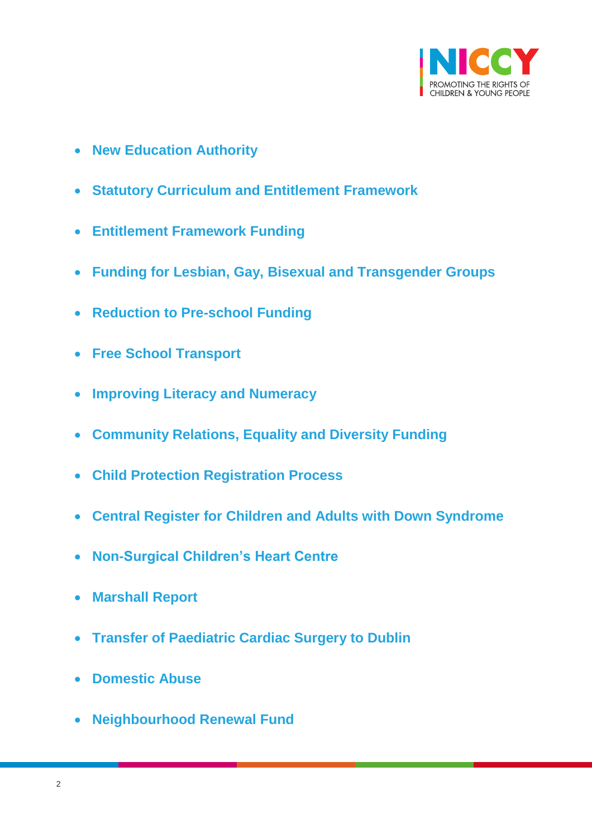

- **[New Education Authority](#page-14-0)**
- **[Statutory Curriculum and Entitlement Framework](#page-14-1)**
- **[Entitlement Framework Funding](#page-15-0)**
- **[Funding for Lesbian, Gay, Bisexual and Transgender Groups](#page-16-0)**
- **[Reduction to Pre-school Funding](#page-16-1)**
- **[Free School Transport](#page-17-0)**
- **[Improving Literacy and Numeracy](#page-17-1)**
- **[Community Relations, Equality and Diversity Funding](#page-17-2)**
- **[Child Protection Registration Process](#page-19-0)**
- **[Central Register for Children and Adults with Down Syndrome](#page-19-1)**
- **[Non-Surgical Children's Heart Centre](#page-20-0)**
- **[Marshall Report](#page-21-0)**
- **[Transfer of Paediatric Cardiac Surgery to Dublin](#page-21-1)**
- **[Domestic Abuse](#page-23-0)**
- **[Neighbourhood Renewal Fund](#page-24-0)**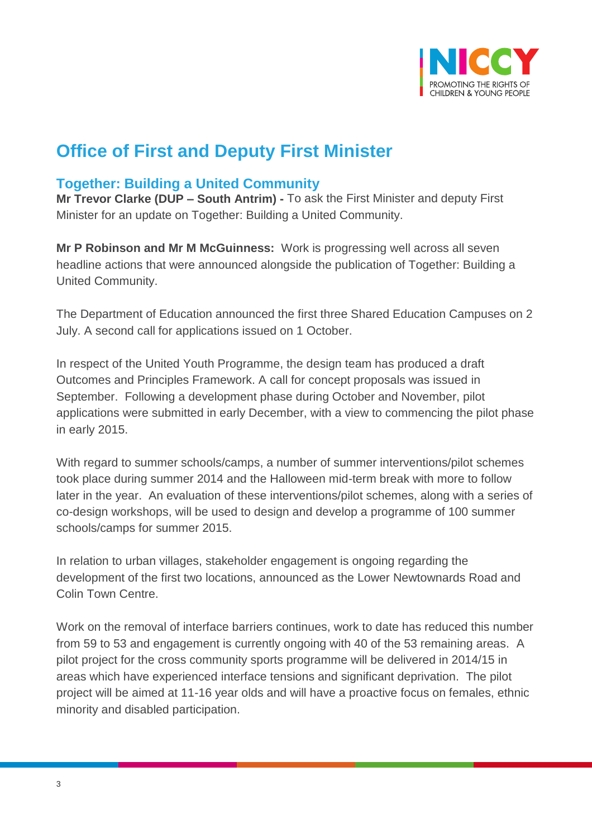

# **Office of First and Deputy First Minister**

## <span id="page-2-0"></span>**Together: Building a United Community**

**Mr Trevor Clarke (DUP – South Antrim) -** To ask the First Minister and deputy First Minister for an update on Together: Building a United Community.

**Mr P Robinson and Mr M McGuinness:** Work is progressing well across all seven headline actions that were announced alongside the publication of Together: Building a United Community.

The Department of Education announced the first three Shared Education Campuses on 2 July. A second call for applications issued on 1 October.

In respect of the United Youth Programme, the design team has produced a draft Outcomes and Principles Framework. A call for concept proposals was issued in September. Following a development phase during October and November, pilot applications were submitted in early December, with a view to commencing the pilot phase in early 2015.

With regard to summer schools/camps, a number of summer interventions/pilot schemes took place during summer 2014 and the Halloween mid-term break with more to follow later in the year. An evaluation of these interventions/pilot schemes, along with a series of co-design workshops, will be used to design and develop a programme of 100 summer schools/camps for summer 2015.

In relation to urban villages, stakeholder engagement is ongoing regarding the development of the first two locations, announced as the Lower Newtownards Road and Colin Town Centre.

Work on the removal of interface barriers continues, work to date has reduced this number from 59 to 53 and engagement is currently ongoing with 40 of the 53 remaining areas. A pilot project for the cross community sports programme will be delivered in 2014/15 in areas which have experienced interface tensions and significant deprivation. The pilot project will be aimed at 11-16 year olds and will have a proactive focus on females, ethnic minority and disabled participation.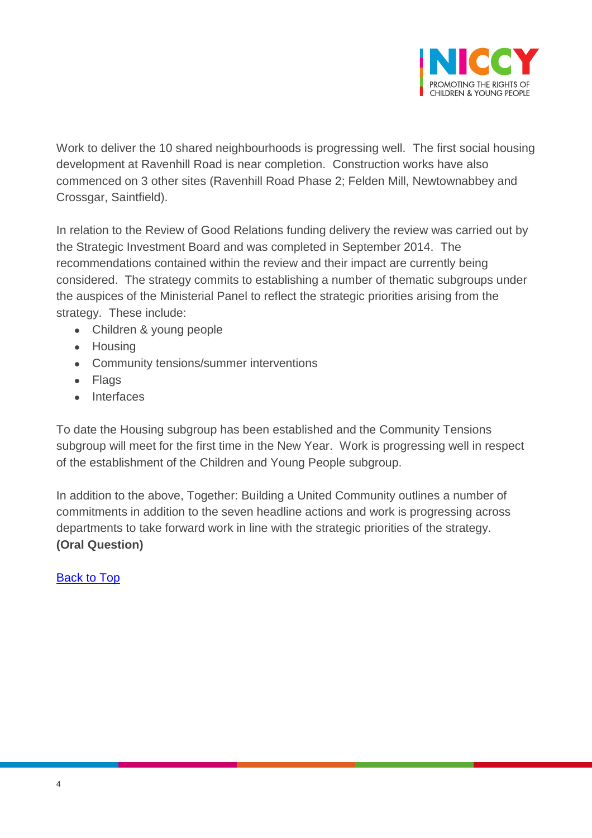

Work to deliver the 10 shared neighbourhoods is progressing well. The first social housing development at Ravenhill Road is near completion. Construction works have also commenced on 3 other sites (Ravenhill Road Phase 2; Felden Mill, Newtownabbey and Crossgar, Saintfield).

In relation to the Review of Good Relations funding delivery the review was carried out by the Strategic Investment Board and was completed in September 2014. The recommendations contained within the review and their impact are currently being considered. The strategy commits to establishing a number of thematic subgroups under the auspices of the Ministerial Panel to reflect the strategic priorities arising from the strategy. These include:

- Children & young people
- Housing
- Community tensions/summer interventions
- Flags
- Interfaces

To date the Housing subgroup has been established and the Community Tensions subgroup will meet for the first time in the New Year. Work is progressing well in respect of the establishment of the Children and Young People subgroup.

In addition to the above, Together: Building a United Community outlines a number of commitments in addition to the seven headline actions and work is progressing across departments to take forward work in line with the strategic priorities of the strategy. **(Oral Question)**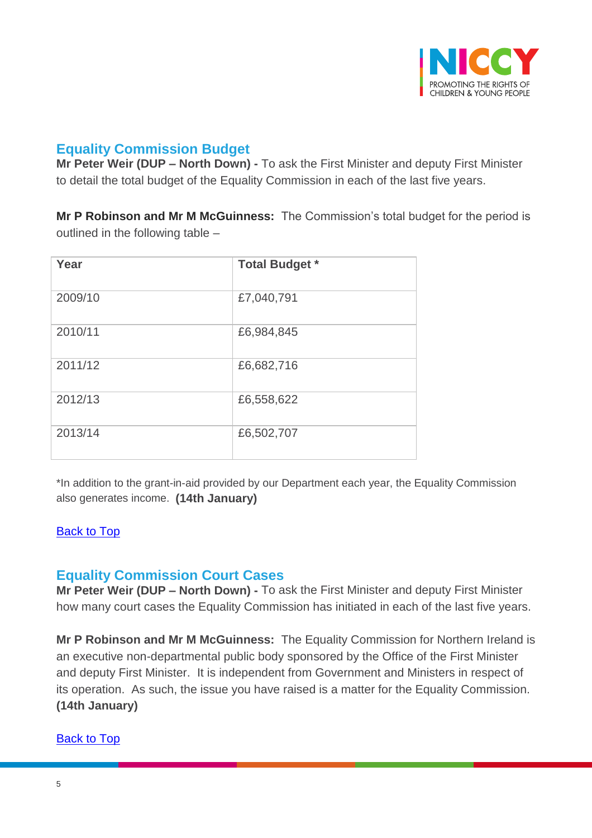

# <span id="page-4-0"></span>**Equality Commission Budget**

**Mr Peter Weir (DUP – North Down) -** To ask the First Minister and deputy First Minister to detail the total budget of the Equality Commission in each of the last five years.

**Mr P Robinson and Mr M McGuinness:** The Commission's total budget for the period is outlined in the following table –

| Year    | <b>Total Budget *</b> |
|---------|-----------------------|
| 2009/10 | £7,040,791            |
| 2010/11 | £6,984,845            |
| 2011/12 | £6,682,716            |
| 2012/13 | £6,558,622            |
| 2013/14 | £6,502,707            |

\*In addition to the grant-in-aid provided by our Department each year, the Equality Commission also generates income. **(14th January)**

#### [Back to Top](#page-0-0)

## <span id="page-4-1"></span>**Equality Commission Court Cases**

**Mr Peter Weir (DUP – North Down) -** To ask the First Minister and deputy First Minister how many court cases the Equality Commission has initiated in each of the last five years.

**Mr P Robinson and Mr M McGuinness:** The Equality Commission for Northern Ireland is an executive non-departmental public body sponsored by the Office of the First Minister and deputy First Minister. It is independent from Government and Ministers in respect of its operation. As such, the issue you have raised is a matter for the Equality Commission. **(14th January)**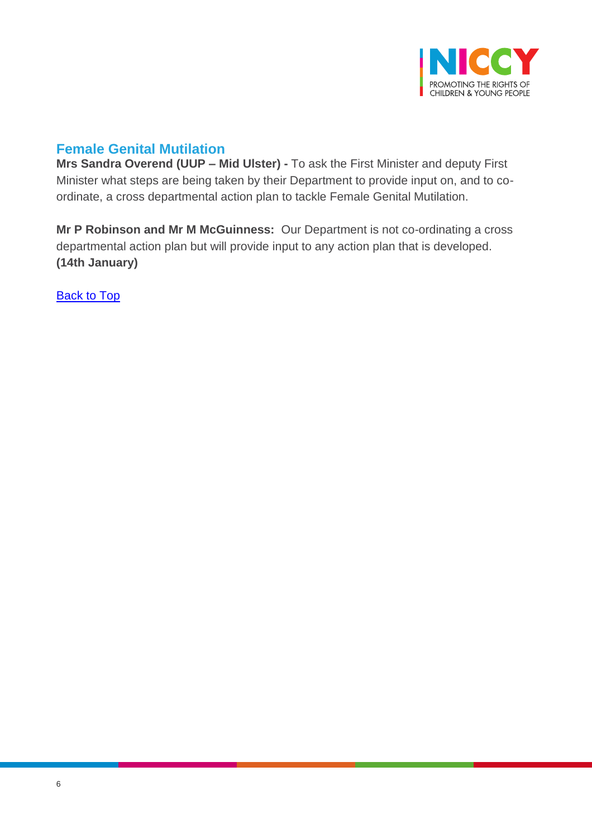

# <span id="page-5-0"></span>**Female Genital Mutilation**

**Mrs Sandra Overend (UUP – Mid Ulster) -** To ask the First Minister and deputy First Minister what steps are being taken by their Department to provide input on, and to coordinate, a cross departmental action plan to tackle Female Genital Mutilation.

**Mr P Robinson and Mr M McGuinness:** Our Department is not co-ordinating a cross departmental action plan but will provide input to any action plan that is developed. **(14th January)**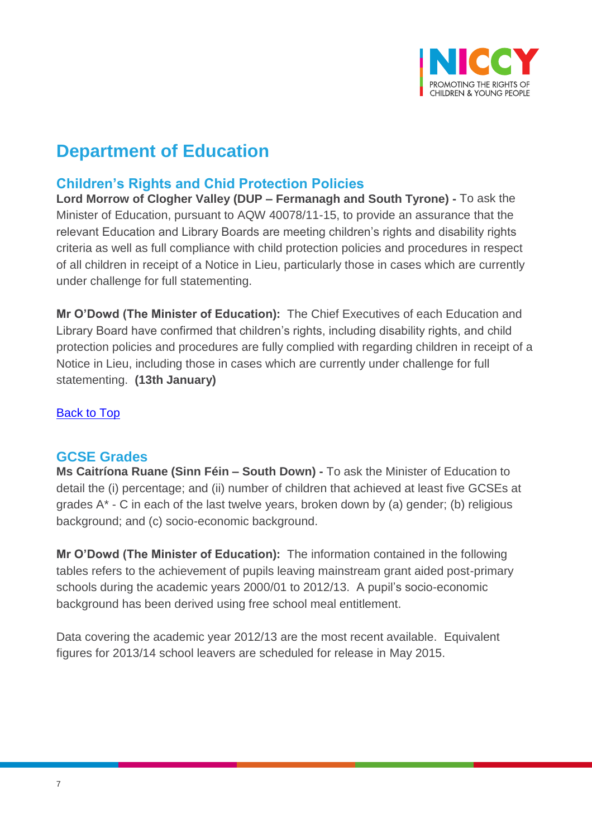

# **Department of Education**

# <span id="page-6-0"></span>**Children's Rights and Chid Protection Policies**

**Lord Morrow of Clogher Valley (DUP – Fermanagh and South Tyrone) -** To ask the Minister of Education, pursuant to AQW 40078/11-15, to provide an assurance that the relevant Education and Library Boards are meeting children's rights and disability rights criteria as well as full compliance with child protection policies and procedures in respect of all children in receipt of a Notice in Lieu, particularly those in cases which are currently under challenge for full statementing.

**Mr O'Dowd (The Minister of Education):** The Chief Executives of each Education and Library Board have confirmed that children's rights, including disability rights, and child protection policies and procedures are fully complied with regarding children in receipt of a Notice in Lieu, including those in cases which are currently under challenge for full statementing. **(13th January)**

[Back to Top](#page-0-0)

#### <span id="page-6-1"></span>**GCSE Grades**

**Ms Caitríona Ruane (Sinn Féin – South Down) -** To ask the Minister of Education to detail the (i) percentage; and (ii) number of children that achieved at least five GCSEs at grades A\* - C in each of the last twelve years, broken down by (a) gender; (b) religious background; and (c) socio-economic background.

**Mr O'Dowd (The Minister of Education):** The information contained in the following tables refers to the achievement of pupils leaving mainstream grant aided post-primary schools during the academic years 2000/01 to 2012/13. A pupil's socio-economic background has been derived using free school meal entitlement.

Data covering the academic year 2012/13 are the most recent available. Equivalent figures for 2013/14 school leavers are scheduled for release in May 2015.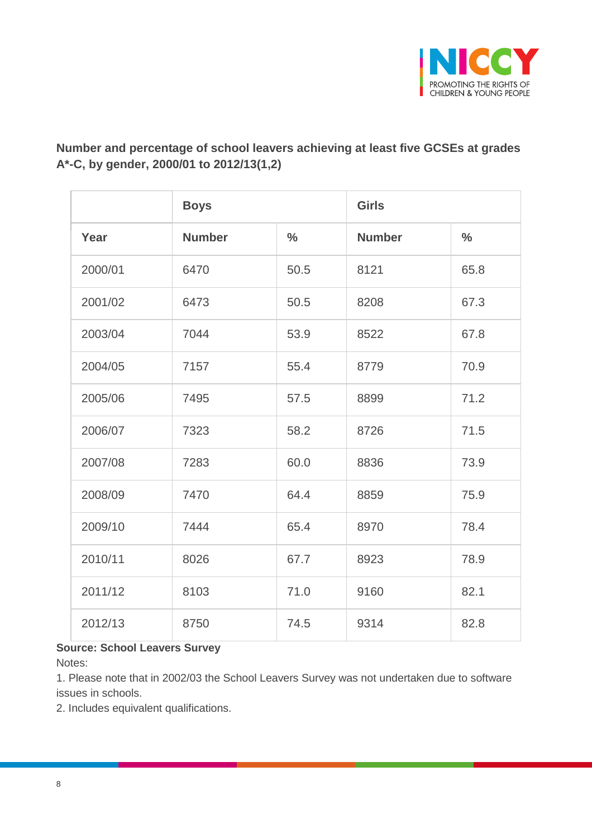

## **Number and percentage of school leavers achieving at least five GCSEs at grades A\*-C, by gender, 2000/01 to 2012/13(1,2)**

|         | <b>Boys</b>   |               | <b>Girls</b>  |               |
|---------|---------------|---------------|---------------|---------------|
| Year    | <b>Number</b> | $\frac{0}{0}$ | <b>Number</b> | $\frac{0}{0}$ |
| 2000/01 | 6470          | 50.5          | 8121          | 65.8          |
| 2001/02 | 6473          | 50.5          | 8208          | 67.3          |
| 2003/04 | 7044          | 53.9          | 8522          | 67.8          |
| 2004/05 | 7157          | 55.4          | 8779          | 70.9          |
| 2005/06 | 7495          | 57.5          | 8899          | 71.2          |
| 2006/07 | 7323          | 58.2          | 8726          | 71.5          |
| 2007/08 | 7283          | 60.0          | 8836          | 73.9          |
| 2008/09 | 7470          | 64.4          | 8859          | 75.9          |
| 2009/10 | 7444          | 65.4          | 8970          | 78.4          |
| 2010/11 | 8026          | 67.7          | 8923          | 78.9          |
| 2011/12 | 8103          | 71.0          | 9160          | 82.1          |
| 2012/13 | 8750          | 74.5          | 9314          | 82.8          |

#### **Source: School Leavers Survey**

Notes:

1. Please note that in 2002/03 the School Leavers Survey was not undertaken due to software issues in schools.

2. Includes equivalent qualifications.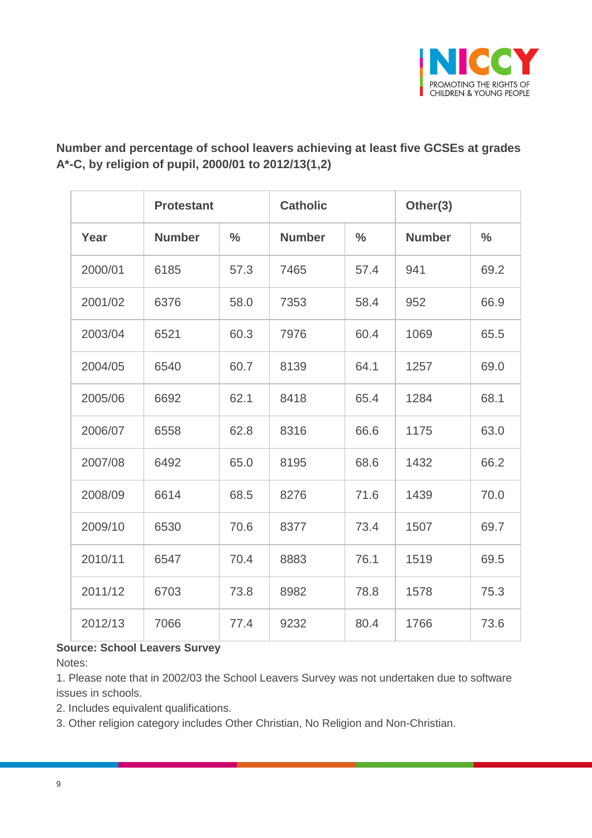

## **Number and percentage of school leavers achieving at least five GCSEs at grades A\*-C, by religion of pupil, 2000/01 to 2012/13(1,2)**

|         | <b>Protestant</b> |               | <b>Catholic</b> |               | Other(3)      |               |
|---------|-------------------|---------------|-----------------|---------------|---------------|---------------|
| Year    | <b>Number</b>     | $\frac{0}{0}$ | <b>Number</b>   | $\frac{0}{0}$ | <b>Number</b> | $\frac{0}{0}$ |
| 2000/01 | 6185              | 57.3          | 7465            | 57.4          | 941           | 69.2          |
| 2001/02 | 6376              | 58.0          | 7353            | 58.4          | 952           | 66.9          |
| 2003/04 | 6521              | 60.3          | 7976            | 60.4          | 1069          | 65.5          |
| 2004/05 | 6540              | 60.7          | 8139            | 64.1          | 1257          | 69.0          |
| 2005/06 | 6692              | 62.1          | 8418            | 65.4          | 1284          | 68.1          |
| 2006/07 | 6558              | 62.8          | 8316            | 66.6          | 1175          | 63.0          |
| 2007/08 | 6492              | 65.0          | 8195            | 68.6          | 1432          | 66.2          |
| 2008/09 | 6614              | 68.5          | 8276            | 71.6          | 1439          | 70.0          |
| 2009/10 | 6530              | 70.6          | 8377            | 73.4          | 1507          | 69.7          |
| 2010/11 | 6547              | 70.4          | 8883            | 76.1          | 1519          | 69.5          |
| 2011/12 | 6703              | 73.8          | 8982            | 78.8          | 1578          | 75.3          |
| 2012/13 | 7066              | 77.4          | 9232            | 80.4          | 1766          | 73.6          |

#### **Source: School Leavers Survey**

Notes:

1. Please note that in 2002/03 the School Leavers Survey was not undertaken due to software issues in schools.

2. Includes equivalent qualifications.

3. Other religion category includes Other Christian, No Religion and Non-Christian.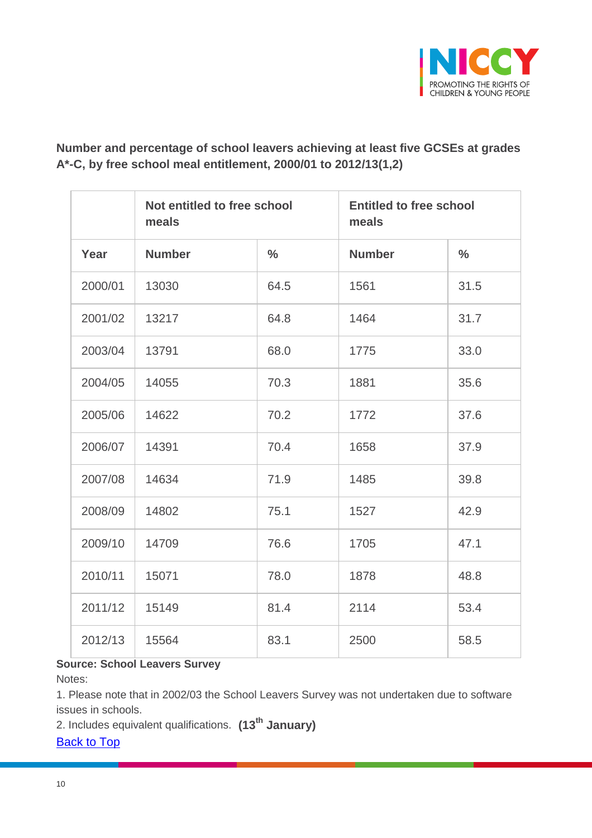

## **Number and percentage of school leavers achieving at least five GCSEs at grades A\*-C, by free school meal entitlement, 2000/01 to 2012/13(1,2)**

|         | Not entitled to free school<br>meals |               | <b>Entitled to free school</b><br>meals |               |
|---------|--------------------------------------|---------------|-----------------------------------------|---------------|
| Year    | <b>Number</b>                        | $\frac{0}{0}$ | <b>Number</b>                           | $\frac{0}{0}$ |
| 2000/01 | 13030                                | 64.5          | 1561                                    | 31.5          |
| 2001/02 | 13217                                | 64.8          | 1464                                    | 31.7          |
| 2003/04 | 13791                                | 68.0          | 1775                                    | 33.0          |
| 2004/05 | 14055                                | 70.3          | 1881                                    | 35.6          |
| 2005/06 | 14622                                | 70.2          | 1772                                    | 37.6          |
| 2006/07 | 14391                                | 70.4          | 1658                                    | 37.9          |
| 2007/08 | 14634                                | 71.9          | 1485                                    | 39.8          |
| 2008/09 | 14802                                | 75.1          | 1527                                    | 42.9          |
| 2009/10 | 14709                                | 76.6          | 1705                                    | 47.1          |
| 2010/11 | 15071                                | 78.0          | 1878                                    | 48.8          |
| 2011/12 | 15149                                | 81.4          | 2114                                    | 53.4          |
| 2012/13 | 15564                                | 83.1          | 2500                                    | 58.5          |

## **Source: School Leavers Survey**

Notes:

1. Please note that in 2002/03 the School Leavers Survey was not undertaken due to software issues in schools.

2. Includes equivalent qualifications. **(13th January)**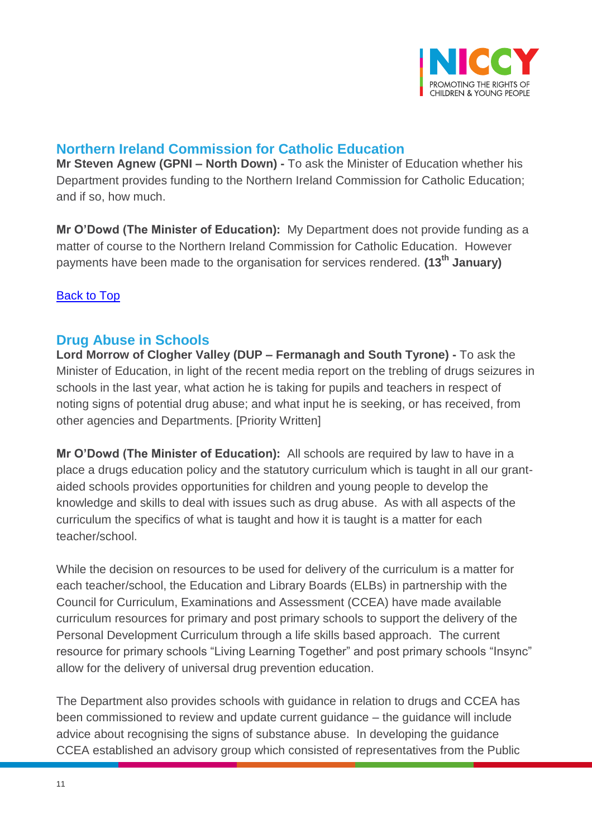

# <span id="page-10-0"></span>**Northern Ireland Commission for Catholic Education**

**Mr Steven Agnew (GPNI – North Down) -** To ask the Minister of Education whether his Department provides funding to the Northern Ireland Commission for Catholic Education; and if so, how much.

**Mr O'Dowd (The Minister of Education):** My Department does not provide funding as a matter of course to the Northern Ireland Commission for Catholic Education. However payments have been made to the organisation for services rendered. **(13th January)**

#### [Back to Top](#page-0-0)

## <span id="page-10-1"></span>**Drug Abuse in Schools**

**Lord Morrow of Clogher Valley (DUP – Fermanagh and South Tyrone) -** To ask the Minister of Education, in light of the recent media report on the trebling of drugs seizures in schools in the last year, what action he is taking for pupils and teachers in respect of noting signs of potential drug abuse; and what input he is seeking, or has received, from other agencies and Departments. [Priority Written]

**Mr O'Dowd (The Minister of Education):** All schools are required by law to have in a place a drugs education policy and the statutory curriculum which is taught in all our grantaided schools provides opportunities for children and young people to develop the knowledge and skills to deal with issues such as drug abuse. As with all aspects of the curriculum the specifics of what is taught and how it is taught is a matter for each teacher/school.

While the decision on resources to be used for delivery of the curriculum is a matter for each teacher/school, the Education and Library Boards (ELBs) in partnership with the Council for Curriculum, Examinations and Assessment (CCEA) have made available curriculum resources for primary and post primary schools to support the delivery of the Personal Development Curriculum through a life skills based approach. The current resource for primary schools "Living Learning Together" and post primary schools "Insync" allow for the delivery of universal drug prevention education.

The Department also provides schools with guidance in relation to drugs and CCEA has been commissioned to review and update current guidance – the guidance will include advice about recognising the signs of substance abuse. In developing the guidance CCEA established an advisory group which consisted of representatives from the Public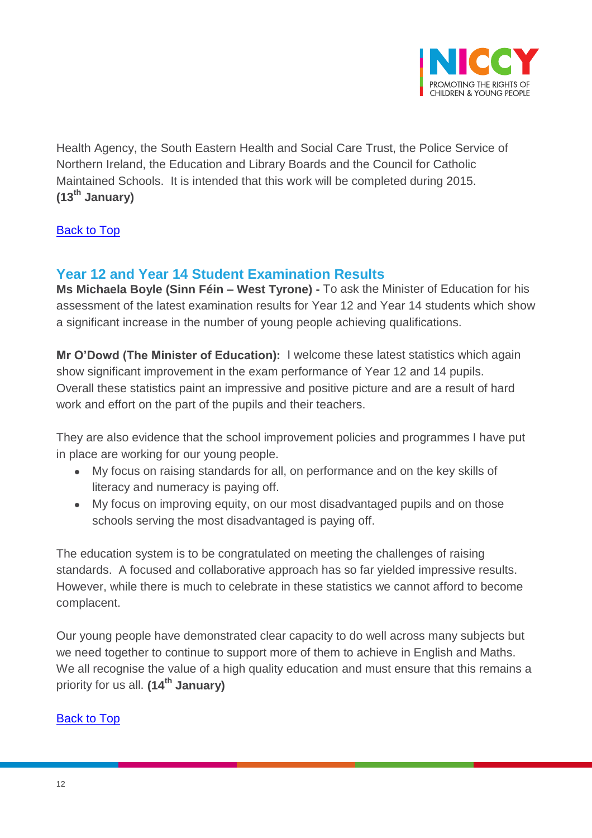

Health Agency, the South Eastern Health and Social Care Trust, the Police Service of Northern Ireland, the Education and Library Boards and the Council for Catholic Maintained Schools. It is intended that this work will be completed during 2015. **(13th January)**

[Back to Top](#page-0-0)

# <span id="page-11-0"></span>**Year 12 and Year 14 Student Examination Results**

**Ms Michaela Boyle (Sinn Féin – West Tyrone) -** To ask the Minister of Education for his assessment of the latest examination results for Year 12 and Year 14 students which show a significant increase in the number of young people achieving qualifications.

**Mr O'Dowd (The Minister of Education):** I welcome these latest statistics which again show significant improvement in the exam performance of Year 12 and 14 pupils. Overall these statistics paint an impressive and positive picture and are a result of hard work and effort on the part of the pupils and their teachers.

They are also evidence that the school improvement policies and programmes I have put in place are working for our young people.

- My focus on raising standards for all, on performance and on the key skills of literacy and numeracy is paying off.
- My focus on improving equity, on our most disadvantaged pupils and on those schools serving the most disadvantaged is paying off.

The education system is to be congratulated on meeting the challenges of raising standards. A focused and collaborative approach has so far yielded impressive results. However, while there is much to celebrate in these statistics we cannot afford to become complacent.

Our young people have demonstrated clear capacity to do well across many subjects but we need together to continue to support more of them to achieve in English and Maths. We all recognise the value of a high quality education and must ensure that this remains a priority for us all. **(14th January)**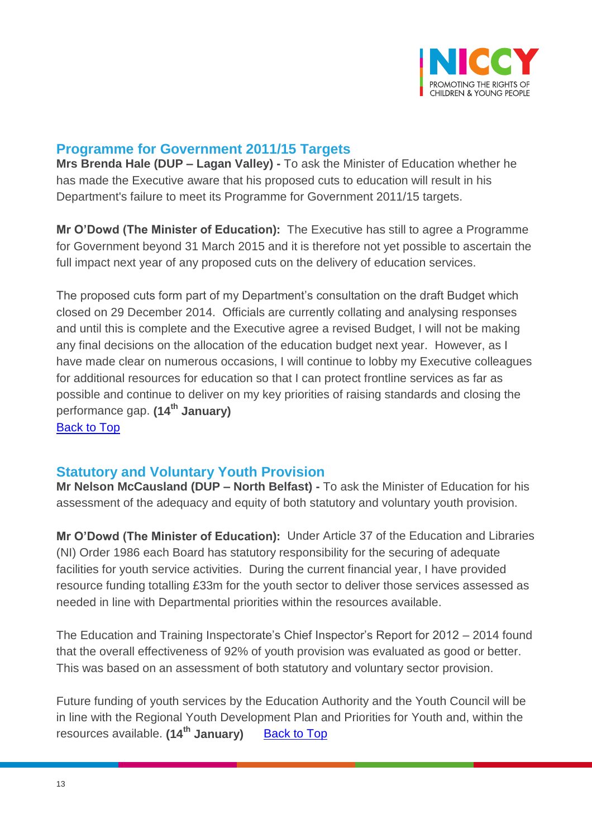

#### <span id="page-12-0"></span>**Programme for Government 2011/15 Targets**

**Mrs Brenda Hale (DUP – Lagan Valley) -** To ask the Minister of Education whether he has made the Executive aware that his proposed cuts to education will result in his Department's failure to meet its Programme for Government 2011/15 targets.

**Mr O'Dowd (The Minister of Education):** The Executive has still to agree a Programme for Government beyond 31 March 2015 and it is therefore not yet possible to ascertain the full impact next year of any proposed cuts on the delivery of education services.

The proposed cuts form part of my Department's consultation on the draft Budget which closed on 29 December 2014. Officials are currently collating and analysing responses and until this is complete and the Executive agree a revised Budget, I will not be making any final decisions on the allocation of the education budget next year. However, as I have made clear on numerous occasions, I will continue to lobby my Executive colleagues for additional resources for education so that I can protect frontline services as far as possible and continue to deliver on my key priorities of raising standards and closing the performance gap. **(14th January) [Back to Top](#page-0-0)** 

## <span id="page-12-1"></span>**Statutory and Voluntary Youth Provision**

**Mr Nelson McCausland (DUP – North Belfast) -** To ask the Minister of Education for his assessment of the adequacy and equity of both statutory and voluntary youth provision.

**Mr O'Dowd (The Minister of Education):** Under Article 37 of the Education and Libraries (NI) Order 1986 each Board has statutory responsibility for the securing of adequate facilities for youth service activities. During the current financial year, I have provided resource funding totalling £33m for the youth sector to deliver those services assessed as needed in line with Departmental priorities within the resources available.

The Education and Training Inspectorate's Chief Inspector's Report for 2012 – 2014 found that the overall effectiveness of 92% of youth provision was evaluated as good or better. This was based on an assessment of both statutory and voluntary sector provision.

Future funding of youth services by the Education Authority and the Youth Council will be in line with the Regional Youth Development Plan and Priorities for Youth and, within the resources available. (14<sup>th</sup> January) [Back to Top](#page-0-0)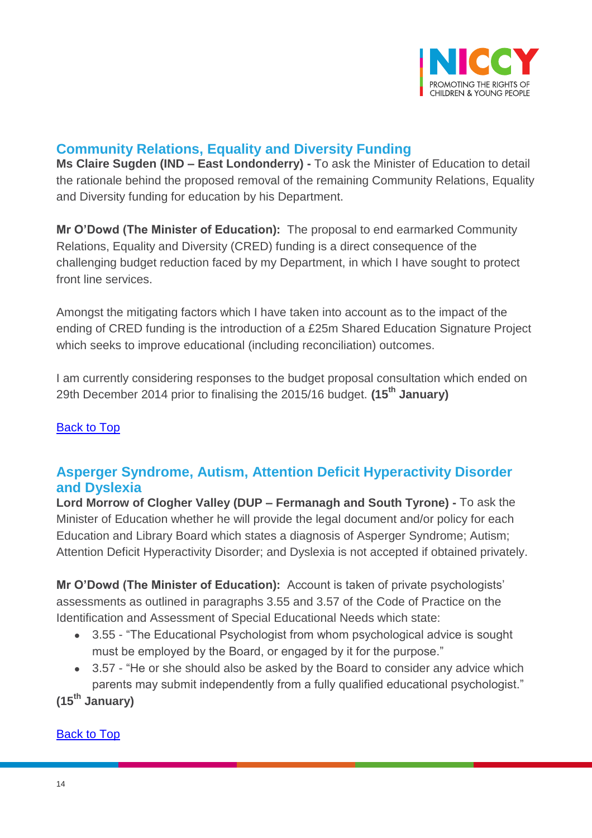

# <span id="page-13-0"></span>**Community Relations, Equality and Diversity Funding**

**Ms Claire Sugden (IND – East Londonderry) -** To ask the Minister of Education to detail the rationale behind the proposed removal of the remaining Community Relations, Equality and Diversity funding for education by his Department.

**Mr O'Dowd (The Minister of Education):** The proposal to end earmarked Community Relations, Equality and Diversity (CRED) funding is a direct consequence of the challenging budget reduction faced by my Department, in which I have sought to protect front line services.

Amongst the mitigating factors which I have taken into account as to the impact of the ending of CRED funding is the introduction of a £25m Shared Education Signature Project which seeks to improve educational (including reconciliation) outcomes.

I am currently considering responses to the budget proposal consultation which ended on 29th December 2014 prior to finalising the 2015/16 budget. **(15th January)**

#### **[Back to Top](#page-0-0)**

## <span id="page-13-1"></span>**Asperger Syndrome, Autism, Attention Deficit Hyperactivity Disorder and Dyslexia**

**Lord Morrow of Clogher Valley (DUP – Fermanagh and South Tyrone) -** To ask the Minister of Education whether he will provide the legal document and/or policy for each Education and Library Board which states a diagnosis of Asperger Syndrome; Autism; Attention Deficit Hyperactivity Disorder; and Dyslexia is not accepted if obtained privately.

**Mr O'Dowd (The Minister of Education):** Account is taken of private psychologists' assessments as outlined in paragraphs 3.55 and 3.57 of the Code of Practice on the Identification and Assessment of Special Educational Needs which state:

- 3.55 "The Educational Psychologist from whom psychological advice is sought must be employed by the Board, or engaged by it for the purpose."
- 3.57 "He or she should also be asked by the Board to consider any advice which parents may submit independently from a fully qualified educational psychologist."

**(15th January)**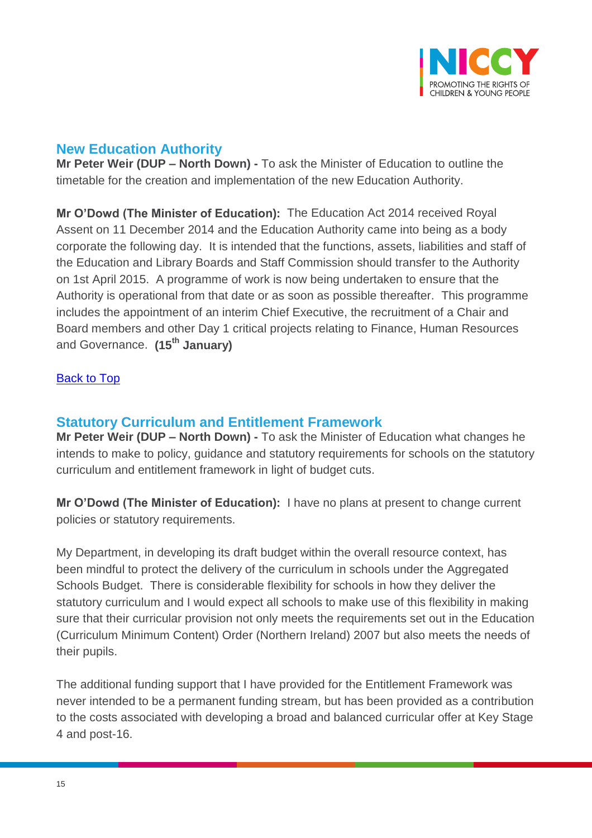

## <span id="page-14-0"></span>**New Education Authority**

**Mr Peter Weir (DUP – North Down) -** To ask the Minister of Education to outline the timetable for the creation and implementation of the new Education Authority.

**Mr O'Dowd (The Minister of Education):** The Education Act 2014 received Royal Assent on 11 December 2014 and the Education Authority came into being as a body corporate the following day. It is intended that the functions, assets, liabilities and staff of the Education and Library Boards and Staff Commission should transfer to the Authority on 1st April 2015. A programme of work is now being undertaken to ensure that the Authority is operational from that date or as soon as possible thereafter. This programme includes the appointment of an interim Chief Executive, the recruitment of a Chair and Board members and other Day 1 critical projects relating to Finance, Human Resources and Governance. **(15th January)**

#### [Back to Top](#page-0-0)

## <span id="page-14-1"></span>**Statutory Curriculum and Entitlement Framework**

**Mr Peter Weir (DUP – North Down) -** To ask the Minister of Education what changes he intends to make to policy, guidance and statutory requirements for schools on the statutory curriculum and entitlement framework in light of budget cuts.

**Mr O'Dowd (The Minister of Education):** I have no plans at present to change current policies or statutory requirements.

My Department, in developing its draft budget within the overall resource context, has been mindful to protect the delivery of the curriculum in schools under the Aggregated Schools Budget. There is considerable flexibility for schools in how they deliver the statutory curriculum and I would expect all schools to make use of this flexibility in making sure that their curricular provision not only meets the requirements set out in the Education (Curriculum Minimum Content) Order (Northern Ireland) 2007 but also meets the needs of their pupils.

The additional funding support that I have provided for the Entitlement Framework was never intended to be a permanent funding stream, but has been provided as a contribution to the costs associated with developing a broad and balanced curricular offer at Key Stage 4 and post-16.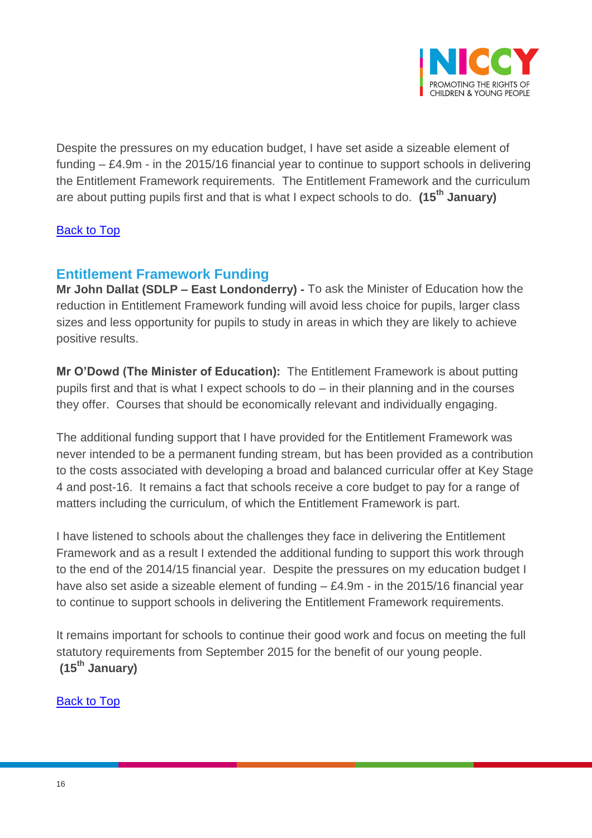

Despite the pressures on my education budget, I have set aside a sizeable element of funding – £4.9m - in the 2015/16 financial year to continue to support schools in delivering the Entitlement Framework requirements. The Entitlement Framework and the curriculum are about putting pupils first and that is what I expect schools to do. **(15th January)**

#### [Back to Top](#page-0-0)

## <span id="page-15-0"></span>**Entitlement Framework Funding**

**Mr John Dallat (SDLP – East Londonderry) -** To ask the Minister of Education how the reduction in Entitlement Framework funding will avoid less choice for pupils, larger class sizes and less opportunity for pupils to study in areas in which they are likely to achieve positive results.

**Mr O'Dowd (The Minister of Education):** The Entitlement Framework is about putting pupils first and that is what I expect schools to do – in their planning and in the courses they offer. Courses that should be economically relevant and individually engaging.

The additional funding support that I have provided for the Entitlement Framework was never intended to be a permanent funding stream, but has been provided as a contribution to the costs associated with developing a broad and balanced curricular offer at Key Stage 4 and post-16. It remains a fact that schools receive a core budget to pay for a range of matters including the curriculum, of which the Entitlement Framework is part.

I have listened to schools about the challenges they face in delivering the Entitlement Framework and as a result I extended the additional funding to support this work through to the end of the 2014/15 financial year. Despite the pressures on my education budget I have also set aside a sizeable element of funding – £4.9m - in the 2015/16 financial year to continue to support schools in delivering the Entitlement Framework requirements.

It remains important for schools to continue their good work and focus on meeting the full statutory requirements from September 2015 for the benefit of our young people. **(15th January)**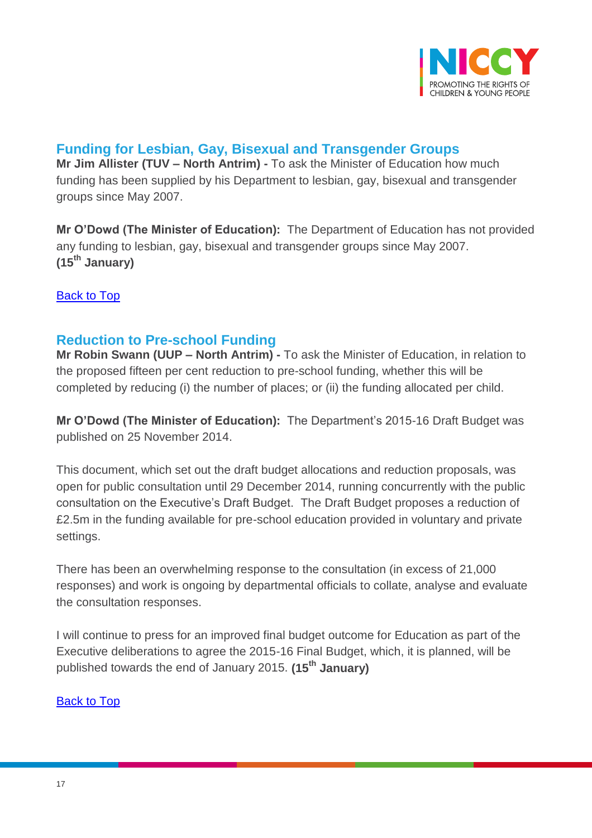

# <span id="page-16-0"></span>**Funding for Lesbian, Gay, Bisexual and Transgender Groups**

**Mr Jim Allister (TUV – North Antrim) -** To ask the Minister of Education how much funding has been supplied by his Department to lesbian, gay, bisexual and transgender groups since May 2007.

**Mr O'Dowd (The Minister of Education):** The Department of Education has not provided any funding to lesbian, gay, bisexual and transgender groups since May 2007. **(15th January)**

[Back to Top](#page-0-0)

## <span id="page-16-1"></span>**Reduction to Pre-school Funding**

**Mr Robin Swann (UUP – North Antrim) -** To ask the Minister of Education, in relation to the proposed fifteen per cent reduction to pre-school funding, whether this will be completed by reducing (i) the number of places; or (ii) the funding allocated per child.

**Mr O'Dowd (The Minister of Education):** The Department's 2015-16 Draft Budget was published on 25 November 2014.

This document, which set out the draft budget allocations and reduction proposals, was open for public consultation until 29 December 2014, running concurrently with the public consultation on the Executive's Draft Budget. The Draft Budget proposes a reduction of £2.5m in the funding available for pre-school education provided in voluntary and private settings.

There has been an overwhelming response to the consultation (in excess of 21,000 responses) and work is ongoing by departmental officials to collate, analyse and evaluate the consultation responses.

I will continue to press for an improved final budget outcome for Education as part of the Executive deliberations to agree the 2015-16 Final Budget, which, it is planned, will be published towards the end of January 2015. **(15th January)**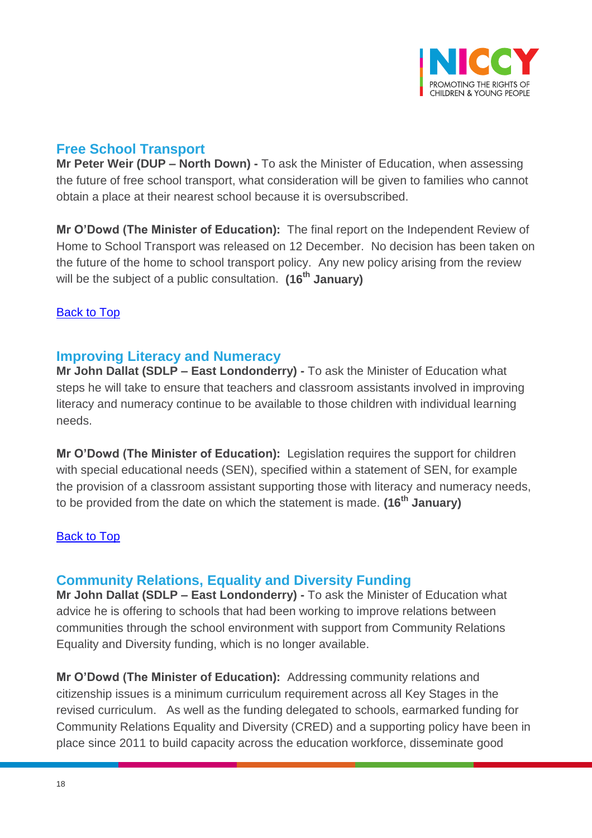

# <span id="page-17-0"></span>**Free School Transport**

**Mr Peter Weir (DUP – North Down) -** To ask the Minister of Education, when assessing the future of free school transport, what consideration will be given to families who cannot obtain a place at their nearest school because it is oversubscribed.

**Mr O'Dowd (The Minister of Education):** The final report on the Independent Review of Home to School Transport was released on 12 December. No decision has been taken on the future of the home to school transport policy. Any new policy arising from the review will be the subject of a public consultation. **(16th January)**

#### [Back to Top](#page-0-0)

## <span id="page-17-1"></span>**Improving Literacy and Numeracy**

**Mr John Dallat (SDLP – East Londonderry) -** To ask the Minister of Education what steps he will take to ensure that teachers and classroom assistants involved in improving literacy and numeracy continue to be available to those children with individual learning needs.

**Mr O'Dowd (The Minister of Education):** Legislation requires the support for children with special educational needs (SEN), specified within a statement of SEN, for example the provision of a classroom assistant supporting those with literacy and numeracy needs, to be provided from the date on which the statement is made. **(16th January)**

#### [Back to Top](#page-0-0)

## <span id="page-17-2"></span>**Community Relations, Equality and Diversity Funding**

**Mr John Dallat (SDLP – East Londonderry) -** To ask the Minister of Education what advice he is offering to schools that had been working to improve relations between communities through the school environment with support from Community Relations Equality and Diversity funding, which is no longer available.

**Mr O'Dowd (The Minister of Education):** Addressing community relations and citizenship issues is a minimum curriculum requirement across all Key Stages in the revised curriculum. As well as the funding delegated to schools, earmarked funding for Community Relations Equality and Diversity (CRED) and a supporting policy have been in place since 2011 to build capacity across the education workforce, disseminate good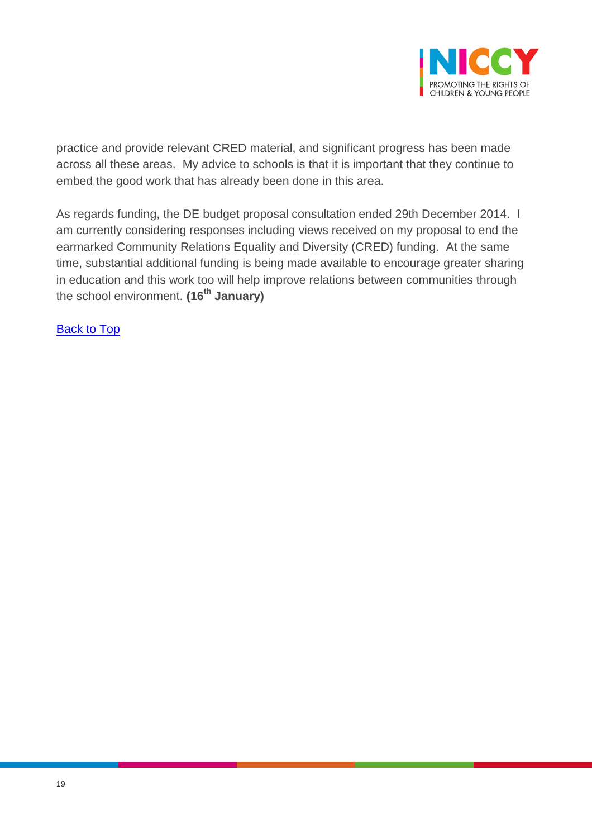

practice and provide relevant CRED material, and significant progress has been made across all these areas. My advice to schools is that it is important that they continue to embed the good work that has already been done in this area.

As regards funding, the DE budget proposal consultation ended 29th December 2014. I am currently considering responses including views received on my proposal to end the earmarked Community Relations Equality and Diversity (CRED) funding. At the same time, substantial additional funding is being made available to encourage greater sharing in education and this work too will help improve relations between communities through the school environment. **(16th January)**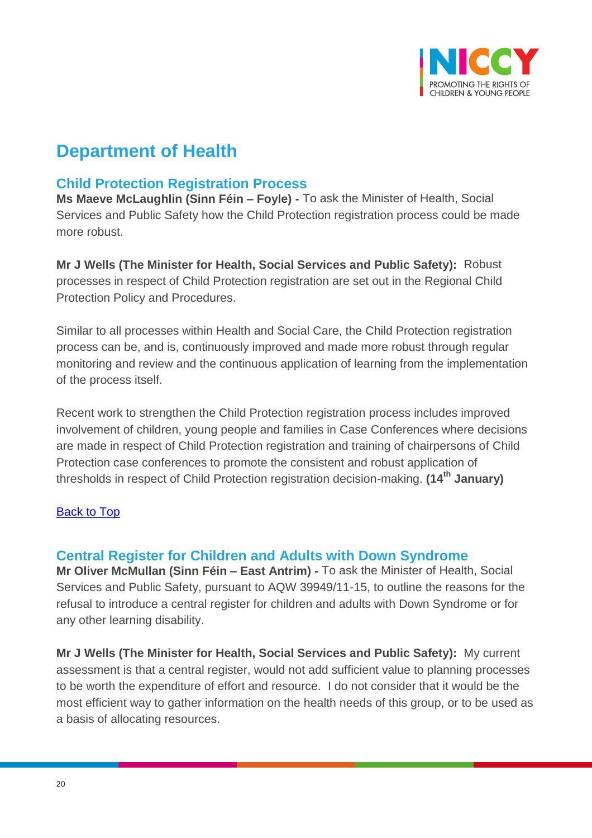

# **Department of Health**

## <span id="page-19-0"></span>**Child Protection Registration Process**

**Ms Maeve McLaughlin (Sinn Féin – Foyle) -** To ask the Minister of Health, Social Services and Public Safety how the Child Protection registration process could be made more robust.

**Mr J Wells (The Minister for Health, Social Services and Public Safety):** Robust processes in respect of Child Protection registration are set out in the Regional Child Protection Policy and Procedures.

Similar to all processes within Health and Social Care, the Child Protection registration process can be, and is, continuously improved and made more robust through regular monitoring and review and the continuous application of learning from the implementation of the process itself.

Recent work to strengthen the Child Protection registration process includes improved involvement of children, young people and families in Case Conferences where decisions are made in respect of Child Protection registration and training of chairpersons of Child Protection case conferences to promote the consistent and robust application of thresholds in respect of Child Protection registration decision-making. **(14th January)**

#### [Back to Top](#page-0-0)

#### <span id="page-19-1"></span>**Central Register for Children and Adults with Down Syndrome**

**Mr Oliver McMullan (Sinn Féin – East Antrim) -** To ask the Minister of Health, Social Services and Public Safety, pursuant to AQW 39949/11-15, to outline the reasons for the refusal to introduce a central register for children and adults with Down Syndrome or for any other learning disability.

**Mr J Wells (The Minister for Health, Social Services and Public Safety):** My current assessment is that a central register, would not add sufficient value to planning processes to be worth the expenditure of effort and resource. I do not consider that it would be the most efficient way to gather information on the health needs of this group, or to be used as a basis of allocating resources.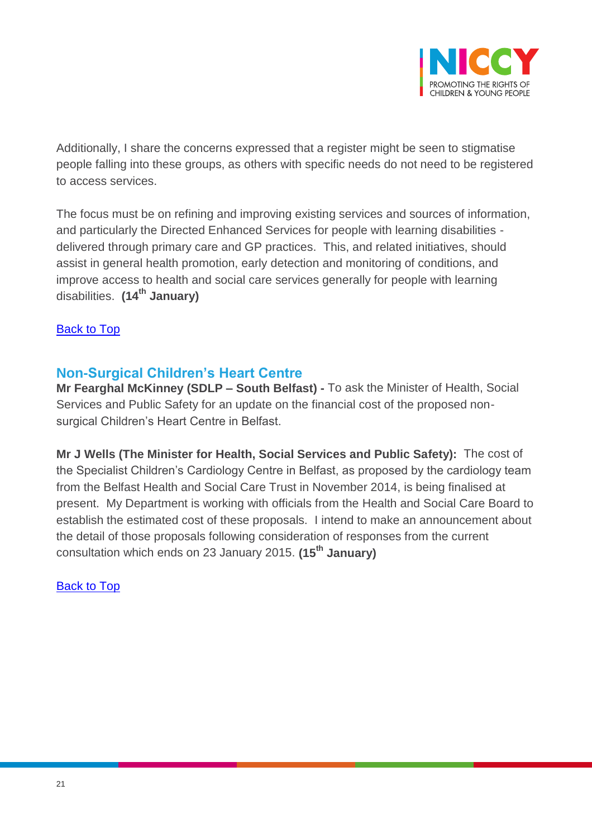

Additionally, I share the concerns expressed that a register might be seen to stigmatise people falling into these groups, as others with specific needs do not need to be registered to access services.

The focus must be on refining and improving existing services and sources of information, and particularly the Directed Enhanced Services for people with learning disabilities delivered through primary care and GP practices. This, and related initiatives, should assist in general health promotion, early detection and monitoring of conditions, and improve access to health and social care services generally for people with learning disabilities. **(14th January)**

[Back to Top](#page-0-0)

## <span id="page-20-0"></span>**Non-Surgical Children's Heart Centre**

**Mr Fearghal McKinney (SDLP – South Belfast) -** To ask the Minister of Health, Social Services and Public Safety for an update on the financial cost of the proposed nonsurgical Children's Heart Centre in Belfast.

**Mr J Wells (The Minister for Health, Social Services and Public Safety):** The cost of the Specialist Children's Cardiology Centre in Belfast, as proposed by the cardiology team from the Belfast Health and Social Care Trust in November 2014, is being finalised at present. My Department is working with officials from the Health and Social Care Board to establish the estimated cost of these proposals. I intend to make an announcement about the detail of those proposals following consideration of responses from the current consultation which ends on 23 January 2015. **(15th January)**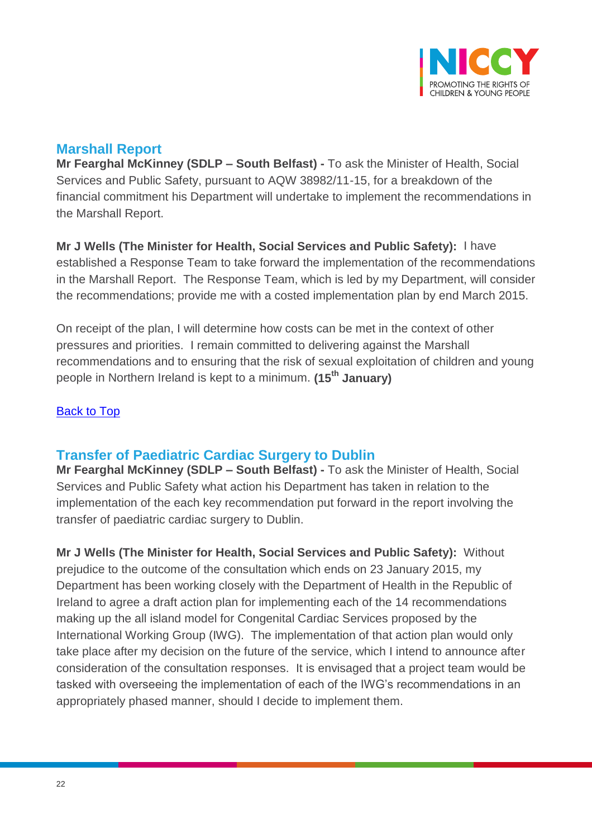

## <span id="page-21-0"></span>**Marshall Report**

**Mr Fearghal McKinney (SDLP – South Belfast) -** To ask the Minister of Health, Social Services and Public Safety, pursuant to AQW 38982/11-15, for a breakdown of the financial commitment his Department will undertake to implement the recommendations in the Marshall Report.

**Mr J Wells (The Minister for Health, Social Services and Public Safety):** I have established a Response Team to take forward the implementation of the recommendations in the Marshall Report. The Response Team, which is led by my Department, will consider the recommendations; provide me with a costed implementation plan by end March 2015.

On receipt of the plan, I will determine how costs can be met in the context of other pressures and priorities. I remain committed to delivering against the Marshall recommendations and to ensuring that the risk of sexual exploitation of children and young people in Northern Ireland is kept to a minimum. **(15th January)**

#### [Back to Top](#page-0-0)

## <span id="page-21-1"></span>**Transfer of Paediatric Cardiac Surgery to Dublin**

**Mr Fearghal McKinney (SDLP – South Belfast) -** To ask the Minister of Health, Social Services and Public Safety what action his Department has taken in relation to the implementation of the each key recommendation put forward in the report involving the transfer of paediatric cardiac surgery to Dublin.

**Mr J Wells (The Minister for Health, Social Services and Public Safety):** Without prejudice to the outcome of the consultation which ends on 23 January 2015, my Department has been working closely with the Department of Health in the Republic of Ireland to agree a draft action plan for implementing each of the 14 recommendations making up the all island model for Congenital Cardiac Services proposed by the International Working Group (IWG). The implementation of that action plan would only take place after my decision on the future of the service, which I intend to announce after consideration of the consultation responses. It is envisaged that a project team would be tasked with overseeing the implementation of each of the IWG's recommendations in an appropriately phased manner, should I decide to implement them.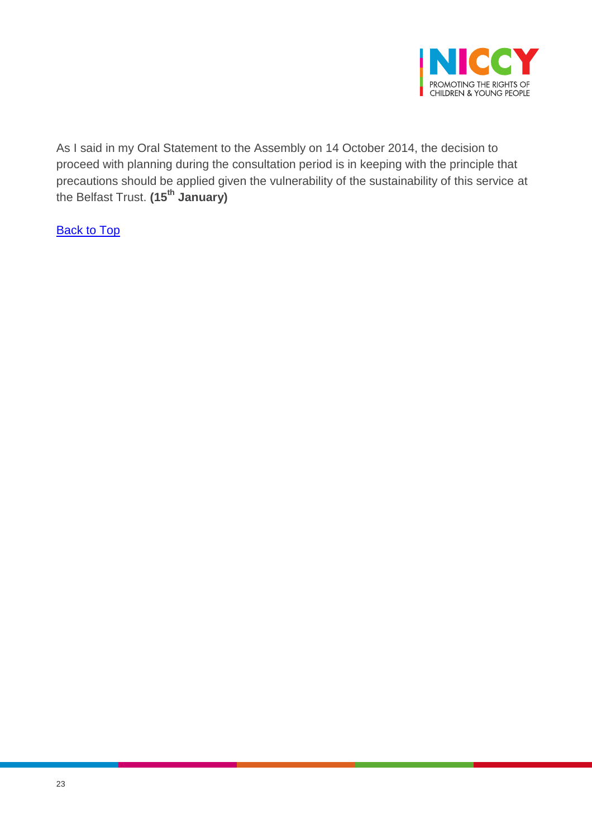

As I said in my Oral Statement to the Assembly on 14 October 2014, the decision to proceed with planning during the consultation period is in keeping with the principle that precautions should be applied given the vulnerability of the sustainability of this service at the Belfast Trust. **(15th January)**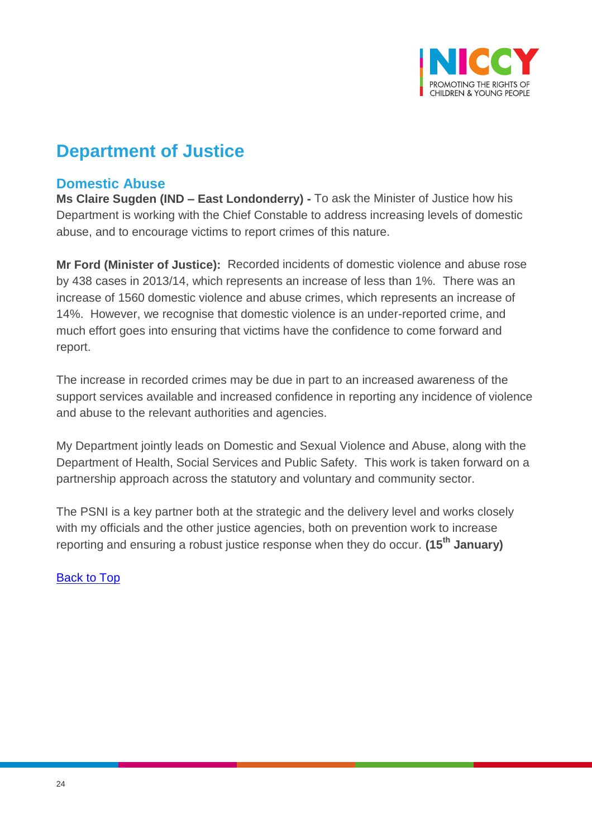

# **Department of Justice**

## <span id="page-23-0"></span>**Domestic Abuse**

**Ms Claire Sugden (IND – East Londonderry) -** To ask the Minister of Justice how his Department is working with the Chief Constable to address increasing levels of domestic abuse, and to encourage victims to report crimes of this nature.

**Mr Ford (Minister of Justice):** Recorded incidents of domestic violence and abuse rose by 438 cases in 2013/14, which represents an increase of less than 1%. There was an increase of 1560 domestic violence and abuse crimes, which represents an increase of 14%. However, we recognise that domestic violence is an under-reported crime, and much effort goes into ensuring that victims have the confidence to come forward and report.

The increase in recorded crimes may be due in part to an increased awareness of the support services available and increased confidence in reporting any incidence of violence and abuse to the relevant authorities and agencies.

My Department jointly leads on Domestic and Sexual Violence and Abuse, along with the Department of Health, Social Services and Public Safety. This work is taken forward on a partnership approach across the statutory and voluntary and community sector.

The PSNI is a key partner both at the strategic and the delivery level and works closely with my officials and the other justice agencies, both on prevention work to increase reporting and ensuring a robust justice response when they do occur. **(15th January)**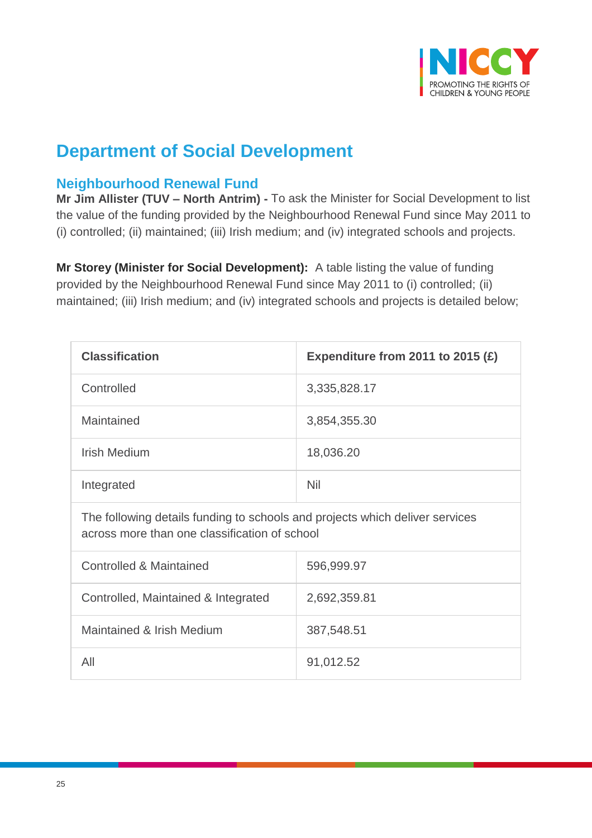

# **Department of Social Development**

## <span id="page-24-0"></span>**Neighbourhood Renewal Fund**

**Mr Jim Allister (TUV – North Antrim) -** To ask the Minister for Social Development to list the value of the funding provided by the Neighbourhood Renewal Fund since May 2011 to (i) controlled; (ii) maintained; (iii) Irish medium; and (iv) integrated schools and projects.

**Mr Storey (Minister for Social Development):** A table listing the value of funding provided by the Neighbourhood Renewal Fund since May 2011 to (i) controlled; (ii) maintained; (iii) Irish medium; and (iv) integrated schools and projects is detailed below;

| <b>Classification</b> | Expenditure from 2011 to 2015 $(E)$ |
|-----------------------|-------------------------------------|
| Controlled            | 3,335,828.17                        |
| Maintained            | 3,854,355.30                        |
| <b>Irish Medium</b>   | 18,036.20                           |
| Integrated            | <b>Nil</b>                          |

The following details funding to schools and projects which deliver services across more than one classification of school

| Controlled & Maintained             | 596,999.97   |
|-------------------------------------|--------------|
| Controlled, Maintained & Integrated | 2,692,359.81 |
| Maintained & Irish Medium           | 387,548.51   |
| All                                 | 91,012.52    |